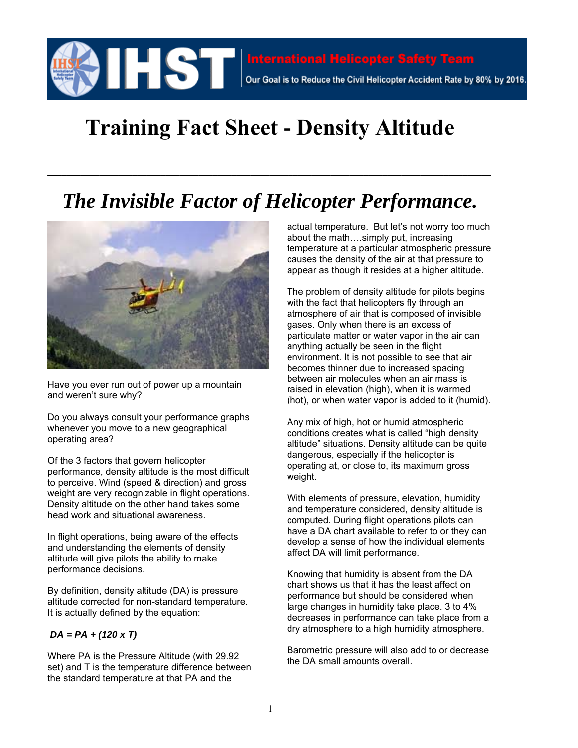

## **Training Fact Sheet - Density Altitude**

## *The Invisible Factor of Helicopter Performance.*

**\_\_\_\_\_\_\_\_\_\_\_\_\_\_\_\_\_\_\_\_\_\_\_\_\_\_\_\_\_\_\_\_\_\_\_\_\_\_\_\_\_\_\_\_\_\_\_\_\_\_\_\_\_\_\_\_\_\_\_\_\_\_\_\_\_\_\_\_\_\_\_\_\_\_\_\_\_\_\_\_\_\_\_\_\_\_\_\_\_\_\_\_\_\_**



Have you ever run out of power up a mountain and weren't sure why?

Do you always consult your performance graphs whenever you move to a new geographical operating area?

Of the 3 factors that govern helicopter performance, density altitude is the most difficult to perceive. Wind (speed & direction) and gross weight are very recognizable in flight operations. Density altitude on the other hand takes some head work and situational awareness.

In flight operations, being aware of the effects and understanding the elements of density altitude will give pilots the ability to make performance decisions.

By definition, density altitude (DA) is pressure altitude corrected for non-standard temperature. It is actually defined by the equation:

## *DA = PA + (120 x T)*

Where PA is the Pressure Altitude (with 29.92 set) and T is the temperature difference between the standard temperature at that PA and the

actual temperature. But let's not worry too much about the math….simply put, increasing temperature at a particular atmospheric pressure causes the density of the air at that pressure to appear as though it resides at a higher altitude.

The problem of density altitude for pilots begins with the fact that helicopters fly through an atmosphere of air that is composed of invisible gases. Only when there is an excess of particulate matter or water vapor in the air can anything actually be seen in the flight environment. It is not possible to see that air becomes thinner due to increased spacing between air molecules when an air mass is raised in elevation (high), when it is warmed (hot), or when water vapor is added to it (humid).

Any mix of high, hot or humid atmospheric conditions creates what is called "high density altitude" situations. Density altitude can be quite dangerous, especially if the helicopter is operating at, or close to, its maximum gross weight.

With elements of pressure, elevation, humidity and temperature considered, density altitude is computed. During flight operations pilots can have a DA chart available to refer to or they can develop a sense of how the individual elements affect DA will limit performance.

Knowing that humidity is absent from the DA chart shows us that it has the least affect on performance but should be considered when large changes in humidity take place. 3 to 4% decreases in performance can take place from a dry atmosphere to a high humidity atmosphere.

Barometric pressure will also add to or decrease the DA small amounts overall.